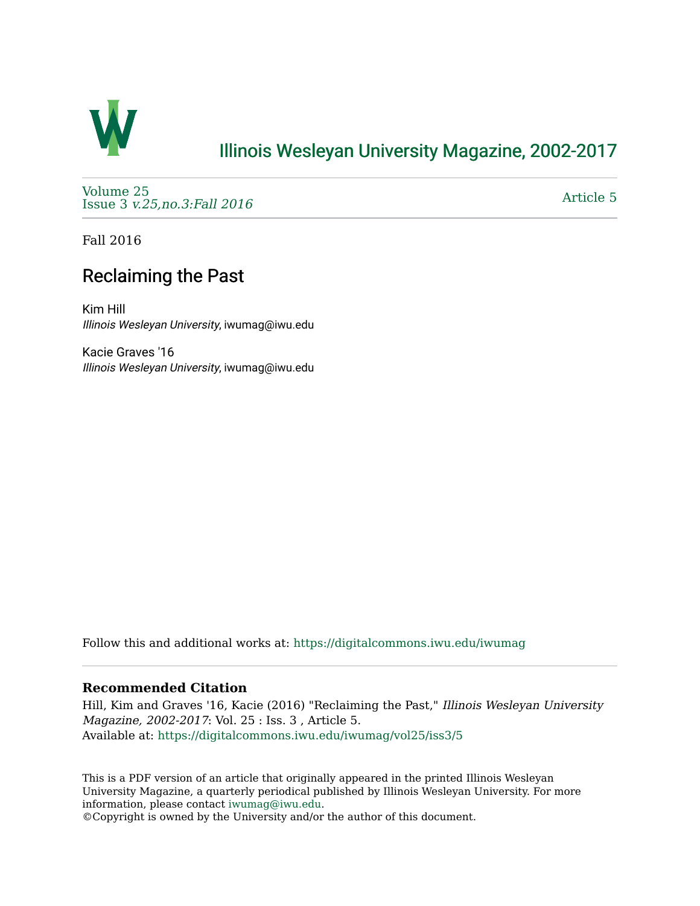

## [Illinois Wesleyan University Magazine, 2002-2017](https://digitalcommons.iwu.edu/iwumag)

[Volume 25](https://digitalcommons.iwu.edu/iwumag/vol25)  Issue 3 [v.25,no.3:Fall 2016](https://digitalcommons.iwu.edu/iwumag/vol25/iss3) 

[Article 5](https://digitalcommons.iwu.edu/iwumag/vol25/iss3/5) 

Fall 2016

## Reclaiming the Past

Kim Hill Illinois Wesleyan University, iwumag@iwu.edu

Kacie Graves '16 Illinois Wesleyan University, iwumag@iwu.edu

Follow this and additional works at: [https://digitalcommons.iwu.edu/iwumag](https://digitalcommons.iwu.edu/iwumag?utm_source=digitalcommons.iwu.edu%2Fiwumag%2Fvol25%2Fiss3%2F5&utm_medium=PDF&utm_campaign=PDFCoverPages) 

### **Recommended Citation**

Hill, Kim and Graves '16, Kacie (2016) "Reclaiming the Past," Illinois Wesleyan University Magazine, 2002-2017: Vol. 25 : Iss. 3 , Article 5. Available at: [https://digitalcommons.iwu.edu/iwumag/vol25/iss3/5](https://digitalcommons.iwu.edu/iwumag/vol25/iss3/5?utm_source=digitalcommons.iwu.edu%2Fiwumag%2Fvol25%2Fiss3%2F5&utm_medium=PDF&utm_campaign=PDFCoverPages)

This is a PDF version of an article that originally appeared in the printed Illinois Wesleyan University Magazine, a quarterly periodical published by Illinois Wesleyan University. For more information, please contact [iwumag@iwu.edu](mailto:iwumag@iwu.edu).

©Copyright is owned by the University and/or the author of this document.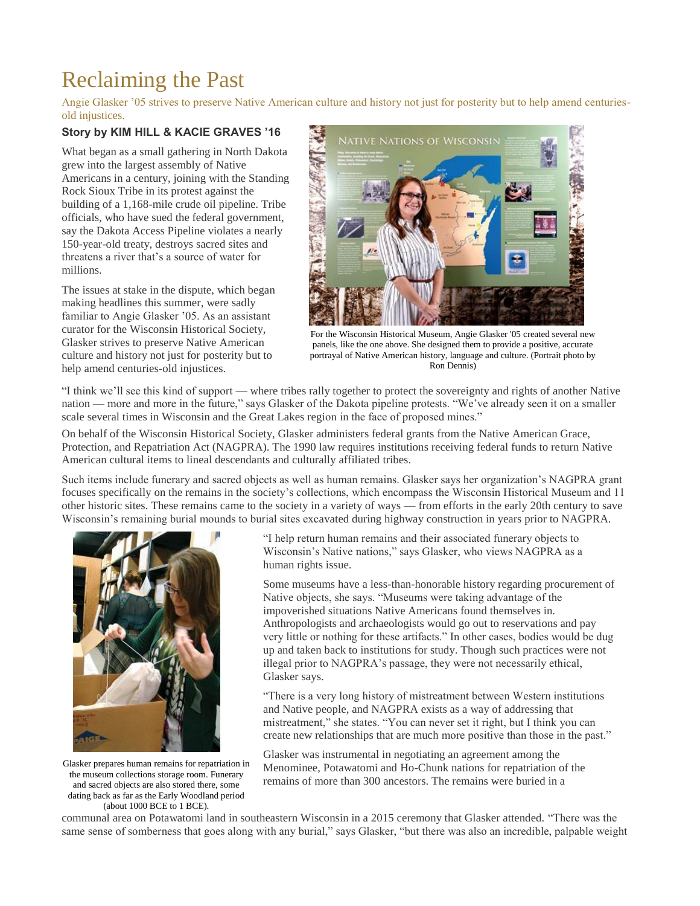# Reclaiming the Past

Angie Glasker '05 strives to preserve Native American culture and history not just for posterity but to help amend centuriesold injustices.

### **Story by KIM HILL & KACIE GRAVES '16**

What began as a small gathering in North Dakota grew into the largest assembly of Native Americans in a century, joining with the Standing Rock Sioux Tribe in its protest against the building of a 1,168-mile crude oil pipeline. Tribe officials, who have sued the federal government, say the Dakota Access Pipeline violates a nearly 150-year-old treaty, destroys sacred sites and threatens a river that's a source of water for millions.

The issues at stake in the dispute, which began making headlines this summer, were sadly familiar to Angie Glasker '05. As an assistant curator for the Wisconsin Historical Society, Glasker strives to preserve Native American culture and history not just for posterity but to help amend centuries-old injustices.



For the Wisconsin Historical Museum, Angie Glasker '05 created several new panels, like the one above. She designed them to provide a positive, accurate portrayal of Native American history, language and culture. (Portrait photo by Ron Dennis)

"I think we'll see this kind of support — where tribes rally together to protect the sovereignty and rights of another Native nation — more and more in the future," says Glasker of the Dakota pipeline protests. "We've already seen it on a smaller scale several times in Wisconsin and the Great Lakes region in the face of proposed mines."

On behalf of the Wisconsin Historical Society, Glasker administers federal grants from the Native American Grace, Protection, and Repatriation Act (NAGPRA). The 1990 law requires institutions receiving federal funds to return Native American cultural items to lineal descendants and culturally affiliated tribes.

Such items include funerary and sacred objects as well as human remains. Glasker says her organization's NAGPRA grant focuses specifically on the remains in the society's collections, which encompass the Wisconsin Historical Museum and 11 other historic sites. These remains came to the society in a variety of ways — from efforts in the early 20th century to save Wisconsin's remaining burial mounds to burial sites excavated during highway construction in years prior to NAGPRA.



Glasker prepares human remains for repatriation in the museum collections storage room. Funerary and sacred objects are also stored there, some dating back as far as the Early Woodland period (about 1000 BCE to 1 BCE).

"I help return human remains and their associated funerary objects to Wisconsin's Native nations," says Glasker, who views NAGPRA as a human rights issue.

Some museums have a less-than-honorable history regarding procurement of Native objects, she says. "Museums were taking advantage of the impoverished situations Native Americans found themselves in. Anthropologists and archaeologists would go out to reservations and pay very little or nothing for these artifacts." In other cases, bodies would be dug up and taken back to institutions for study. Though such practices were not illegal prior to NAGPRA's passage, they were not necessarily ethical, Glasker says.

"There is a very long history of mistreatment between Western institutions and Native people, and NAGPRA exists as a way of addressing that mistreatment," she states. "You can never set it right, but I think you can create new relationships that are much more positive than those in the past."

Glasker was instrumental in negotiating an agreement among the Menominee, Potawatomi and Ho-Chunk nations for repatriation of the remains of more than 300 ancestors. The remains were buried in a

communal area on Potawatomi land in southeastern Wisconsin in a 2015 ceremony that Glasker attended. "There was the same sense of somberness that goes along with any burial," says Glasker, "but there was also an incredible, palpable weight